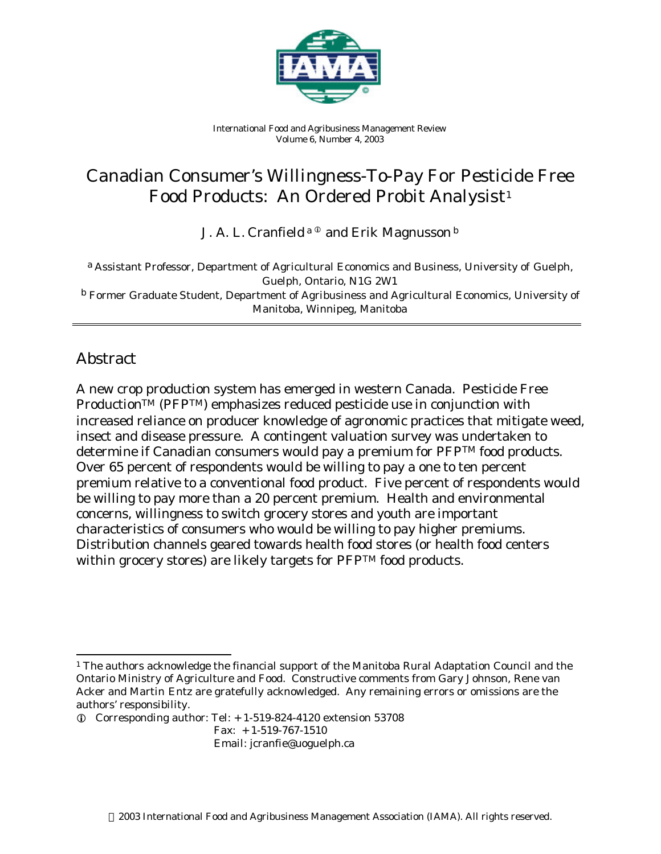

*International Food and Agribusiness Management Review Volume 6, Number 4, 2003*

# Canadian Consumer's Willingness-To-Pay For Pesticide Free Food Products: An Ordered Probit Analysist 1

J. A. L. Cranfield  $a^0$  and Erik Magnusson  $b$ 

a *Assistant Professor, Department of Agricultural Economics and Business, University of Guelph, Guelph, Ontario, N1G 2W1* b *Former Graduate Student, Department of Agribusiness and Agricultural Economics, University of Manitoba, Winnipeg, Manitoba*

## Abstract

A new crop production system has emerged in western Canada. Pesticide Free ProductionTM (PFPTM) emphasizes reduced pesticide use in conjunction with increased reliance on producer knowledge of agronomic practices that mitigate weed, insect and disease pressure. A contingent valuation survey was undertaken to determine if Canadian consumers would pay a premium for PFPTM food products. Over 65 percent of respondents would be willing to pay a one to ten percent premium relative to a conventional food product. Five percent of respondents would be willing to pay more than a 20 percent premium. Health and environmental concerns, willingness to switch grocery stores and youth are important characteristics of consumers who would be willing to pay higher premiums. Distribution channels geared towards health food stores (or health food centers within grocery stores) are likely targets for PFPTM food products.

Fax: + 1-519-767-1510

Email: jcranfie@uoguelph.ca

l <sup>1</sup> The authors acknowledge the financial support of the Manitoba Rural Adaptation Council and the Ontario Ministry of Agriculture and Food. Constructive comments from Gary Johnson, Rene van Acker and Martin Entz are gratefully acknowledged. Any remaining errors or omissions are the authors' responsibility.

 $\odot$  Corresponding author: Tel:  $+ 1-519-824-4120$  extension 53708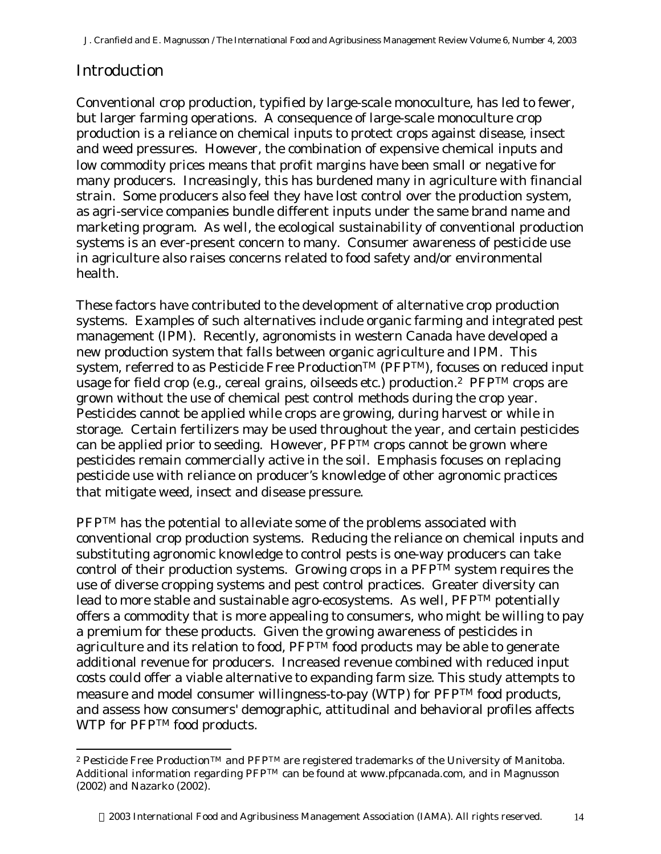## Introduction

l

Conventional crop production, typified by large-scale monoculture, has led to fewer, but larger farming operations. A consequence of large-scale monoculture crop production is a reliance on chemical inputs to protect crops against disease, insect and weed pressures. However, the combination of expensive chemical inputs and low commodity prices means that profit margins have been small or negative for many producers. Increasingly, this has burdened many in agriculture with financial strain. Some producers also feel they have lost control over the production system, as agri-service companies bundle different inputs under the same brand name and marketing program. As well, the ecological sustainability of conventional production systems is an ever-present concern to many. Consumer awareness of pesticide use in agriculture also raises concerns related to food safety and/or environmental health.

These factors have contributed to the development of alternative crop production systems. Examples of such alternatives include organic farming and integrated pest management (IPM). Recently, agronomists in western Canada have developed a new production system that falls between organic agriculture and IPM. This system, referred to as Pesticide Free Production<sup>TM</sup> (PFP<sup>TM</sup>), focuses on reduced input usage for field crop (*e.g.*, cereal grains, oilseeds *etc*.) production.2 PFPTM crops are grown without the use of chemical pest control methods during the crop year. Pesticides cannot be applied while crops are growing, during harvest or while in storage. Certain fertilizers may be used throughout the year, and certain pesticides can be applied prior to seeding. However,  $PFP^{TM}$  crops cannot be grown where pesticides remain commercially active in the soil. Emphasis focuses on replacing pesticide use with reliance on producer's knowledge of other agronomic practices that mitigate weed, insect and disease pressure.

PFP<sup>TM</sup> has the potential to alleviate some of the problems associated with conventional crop production systems. Reducing the reliance on chemical inputs and substituting agronomic knowledge to control pests is one-way producers can take control of their production systems. Growing crops in a  $PFP^{TM}$  system requires the use of diverse cropping systems and pest control practices. Greater diversity can lead to more stable and sustainable agro-ecosystems. As well, PFP<sup>TM</sup> potentially offers a commodity that is more appealing to consumers, who might be willing to pay a premium for these products. Given the growing awareness of pesticides in agriculture and its relation to food, PFP<sup>TM</sup> food products may be able to generate additional revenue for producers. Increased revenue combined with reduced input costs could offer a viable alternative to expanding farm size. This study attempts to measure and model consumer willingness-to-pay (WTP) for PFPTM food products, and assess how consumers' demographic, attitudinal and behavioral profiles affects WTP for PFP<sup>TM</sup> food products.

<sup>&</sup>lt;sup>2</sup> Pesticide Free Production™ and PFP™ are registered trademarks of the University of Manitoba. Additional information regarding PFPTM can be found at www.pfpcanada.com, and in Magnusson (2002) and Nazarko (2002).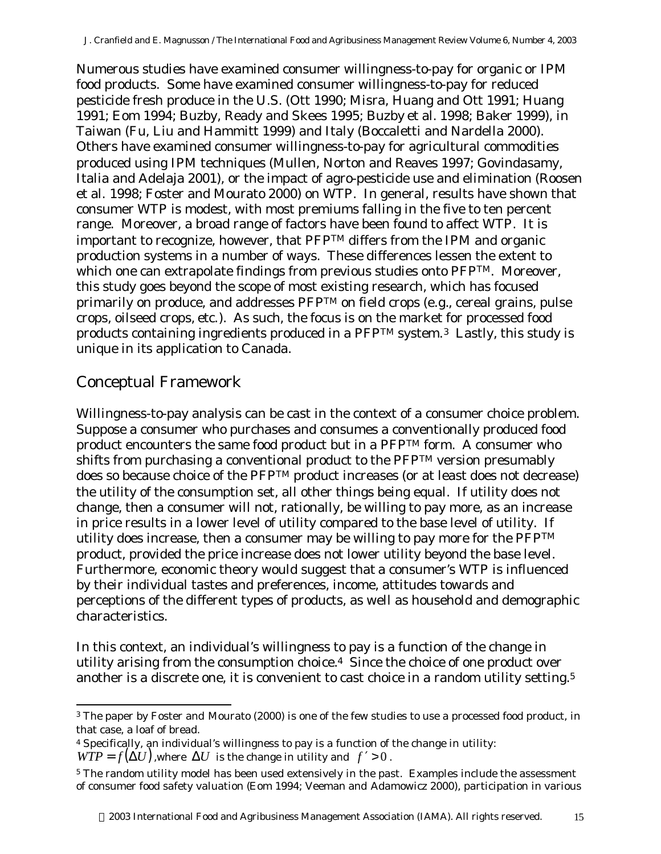Numerous studies have examined consumer willingness-to-pay for organic or IPM food products. Some have examined consumer willingness-to-pay for reduced pesticide fresh produce in the U.S. (Ott 1990; Misra, Huang and Ott 1991; Huang 1991; Eom 1994; Buzby, Ready and Skees 1995; Buzby *et al.* 1998; Baker 1999), in Taiwan (Fu, Liu and Hammitt 1999) and Italy (Boccaletti and Nardella 2000). Others have examined consumer willingness-to-pay for agricultural commodities produced using IPM techniques (Mullen, Norton and Reaves 1997; Govindasamy, Italia and Adelaja 2001), or the impact of agro-pesticide use and elimination (Roosen *et al.* 1998; Foster and Mourato 2000) on WTP. In general, results have shown that consumer WTP is modest, with most premiums falling in the five to ten percent range. Moreover, a broad range of factors have been found to affect WTP. It is important to recognize, however, that PFPTM differs from the IPM and organic production systems in a number of ways. These differences lessen the extent to which one can extrapolate findings from previous studies onto PFPTM. Moreover, this study goes beyond the scope of most existing research, which has focused primarily on produce, and addresses PFPTM on field crops (*e.g.*, cereal grains, pulse crops, oilseed crops, *etc.*). As such, the focus is on the market for processed food products containing ingredients produced in a PFPTM system.3 Lastly, this study is unique in its application to Canada.

## Conceptual Framework

l

Willingness-to-pay analysis can be cast in the context of a consumer choice problem. Suppose a consumer who purchases and consumes a conventionally produced food product encounters the same food product but in a PFPTM form. A consumer who shifts from purchasing a conventional product to the PFPTM version presumably does so because choice of the PFPTM product increases (or at least does not decrease) the utility of the consumption set, all other things being equal. If utility does not change, then a consumer will not, rationally, be willing to pay more, as an increase in price results in a lower level of utility compared to the base level of utility. If utility does increase, then a consumer may be willing to pay more for the PFP<sup>TM</sup> product, provided the price increase does not lower utility beyond the base level. Furthermore, economic theory would suggest that a consumer's WTP is influenced by their individual tastes and preferences, income, attitudes towards and perceptions of the different types of products, as well as household and demographic characteristics.

In this context, an individual's willingness to pay is a function of the change in utility arising from the consumption choice.<sup>4</sup> Since the choice of one product over another is a discrete one, it is convenient to cast choice in a random utility setting.<sup>5</sup>

<sup>3</sup> The paper by Foster and Mourato (2000) is one of the few studies to use a processed food product, in that case, a loaf of bread.

<sup>4</sup> Specifically, an individual's willingness to pay is a function of the change in utility:  $WTP = f(\Delta U)$ , where  $\Delta U$  is the change in utility and  $f' > 0$ .

<sup>5</sup> The random utility model has been used extensively in the past. Examples include the assessment of consumer food safety valuation (Eom 1994; Veeman and Adamowicz 2000), participation in various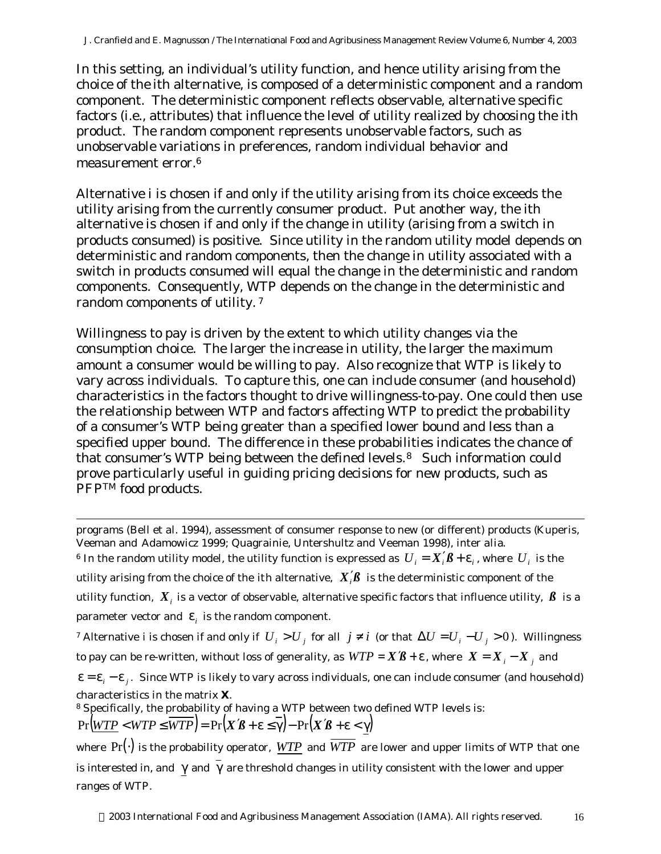In this setting, an individual's utility function, and hence utility arising from the choice of the *i*th alternative, is composed of a deterministic component and a random component. The deterministic component reflects observable, alternative specific factors (i.e., attributes) that influence the level of utility realized by choosing the *i*th product. The random component represents unobservable factors, such as unobservable variations in preferences, random individual behavior and measurement error.<sup>6</sup>

Alternative *i* is chosen if and only if the utility arising from its choice exceeds the utility arising from the currently consumer product. Put another way, the ith alternative is chosen if and only if the change in utility (arising from a switch in products consumed) is positive. Since utility in the random utility model depends on deterministic and random components, then the change in utility associated with a switch in products consumed will equal the change in the deterministic and random components. Consequently, WTP depends on the change in the deterministic and random components of utility. <sup>7</sup>

Willingness to pay is driven by the extent to which utility changes via the consumption choice. The larger the increase in utility, the larger the maximum amount a consumer would be willing to pay. Also recognize that WTP is likely to vary across individuals. To capture this, one can include consumer (and household) characteristics in the factors thought to drive willingness-to-pay. One could then use the relationship between WTP and factors affecting WTP to predict the probability of a consumer's WTP being greater than a specified lower bound and less than a specified upper bound. The difference in these probabilities indicates the chance of that consumer's WTP being between the defined levels.8 Such information could prove particularly useful in guiding pricing decisions for new products, such as PFP<sup>TM</sup> food products.

l

programs (Bell *et al.* 1994), assessment of consumer response to new (or different) products (Kuperis, Veeman and Adamowicz 1999; Quagrainie, Untershultz and Veeman 1998), *inter alia*.  $^6$  In the random utility model, the utility function is expressed as  $\,U_i = X_i'\!\boldsymbol{\beta} + \bm{\epsilon}_i$  , where  $\,U_i\,$  is the utility arising from the choice of the *i*th alternative,  $\ X_i'\!\beta\,$  is the deterministic component of the utility function,  $\,X_{_i}$  is a vector of observable, alternative specific factors that influence utility,  $\,\beta\,$  is a parameter vector and  $\mathbf{\varepsilon}_i$  is the random component. *7* Alternative *i* is chosen if and only if  $U_i > U_j$  for all  $j \neq i$  (or that  $\Delta U = U_i - U_j > 0$ ). Willingness to pay can be re-written, without loss of generality, as  $\mathit{WTP} = X\mathcal{B} + \varepsilon$  , where  $|X = X_{i} - X_{j}|$  and  $\epsilon = \epsilon_i - \epsilon_j$ . Since WTP is likely to vary across individuals, one can include consumer (and household) characteristics in the matrix *X*. <sup>8</sup> Specifically, the probability of having a WTP between two defined WTP levels is:  $Pr(WTP \leq WTP \leq \overline{WTP}) = Pr(X\mathcal{B} + \varepsilon \leq \overline{\gamma}) - Pr(X\mathcal{B} + \varepsilon \leq \gamma)$ where  $Pr(\cdot)$  is the probability operator, *WTP* and  $\overline{WTP}$  are lower and upper limits of WTP that one is interested in, and  $\gamma$  and  $\overline{\gamma}$  are threshold changes in utility consistent with the lower and upper

ranges of WTP.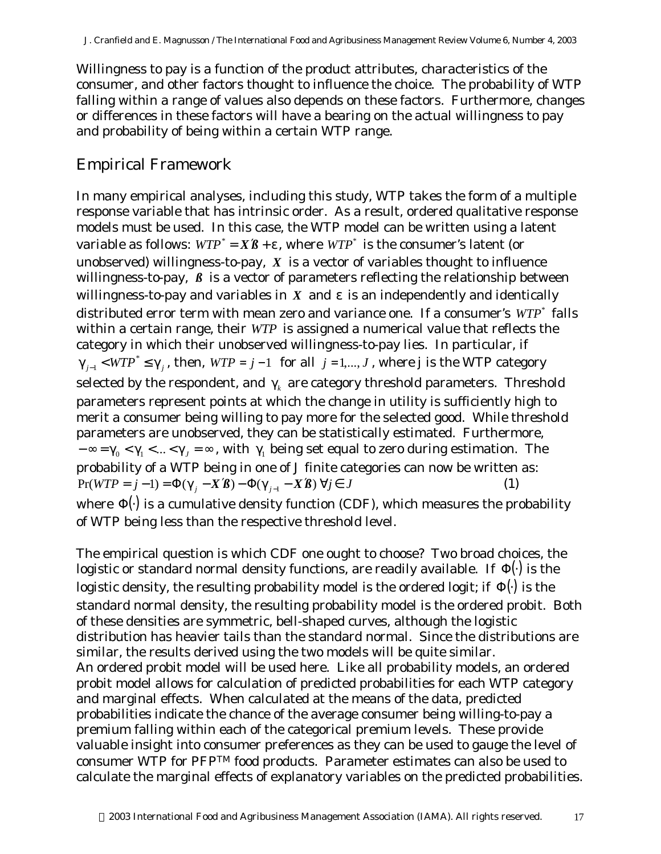Willingness to pay is a function of the product attributes, characteristics of the consumer, and other factors thought to influence the choice. The probability of WTP falling within a range of values also depends on these factors. Furthermore, changes or differences in these factors will have a bearing on the actual willingness to pay and probability of being within a certain WTP range.

## Empirical Framework

In many empirical analyses, including this study, WTP takes the form of a multiple response variable that has intrinsic order. As a result, ordered qualitative response models must be used. In this case, the WTP model can be written using a latent variable as follows:  $WTP^* = X\mathcal{B} + \varepsilon$ , where  $WTP^*$  is the consumer's latent (or unobserved) willingness-to-pay, *X* is a vector of variables thought to influence willingness-to-pay,  $\beta$  is a vector of parameters reflecting the relationship between willingness-to-pay and variables in  $X$  and  $\varepsilon$  is an independently and identically distributed error term with mean zero and variance one. If a consumer's  $WTP^*$  falls within a certain range, their *WTP* is assigned a numerical value that reflects the category in which their unobserved willingness-to-pay lies. In particular, if  $\gamma_{j-1}$  <  $WTP^* \leq \gamma_j$  $_1$  < *WTP*  $^*$  ≤  $\gamma$ <sub>*j*</sub>, then, *WTP* = *j* −1 for all *j* = 1,..., *J* , where *j* is the WTP category selected by the respondent, and  $\gamma_{\scriptscriptstyle{k}}$  are category threshold parameters. Threshold parameters represent points at which the change in utility is sufficiently high to merit a consumer being willing to pay more for the selected good. While threshold parameters are unobserved, they can be statistically estimated. Furthermore,  $-\infty = \gamma_0 < \gamma_1 < ... < \gamma_J = \infty$ , with  $\gamma_1$  being set equal to zero during estimation. The probability of a WTP being in one of *J* finite categories can now be written as:  $Pr(WTP = j - 1) = \Phi(\gamma_i - X\mathcal{B}) - \Phi(\gamma_{i-1} - X\mathcal{B}) \,\forall j \in J$  (1) where  $\Phi(\cdot)$  is a cumulative density function (CDF), which measures the probability of WTP being less than the respective threshold level.

The empirical question is which CDF one ought to choose? Two broad choices, the logistic or standard normal density functions, are readily available. If Φ(⋅) is the logistic density, the resulting probability model is the ordered logit; if  $\Phi(\cdot)$  is the standard normal density, the resulting probability model is the ordered probit. Both of these densities are symmetric, bell-shaped curves, although the logistic distribution has heavier tails than the standard normal. Since the distributions are similar, the results derived using the two models will be quite similar. An ordered probit model will be used here. Like all probability models, an ordered probit model allows for calculation of predicted probabilities for each WTP category and marginal effects. When calculated at the means of the data, predicted probabilities indicate the chance of the average consumer being willing-to-pay a premium falling within each of the categorical premium levels. These provide valuable insight into consumer preferences as they can be used to gauge the level of consumer WTP for PFPTM food products. Parameter estimates can also be used to calculate the marginal effects of explanatory variables on the predicted probabilities.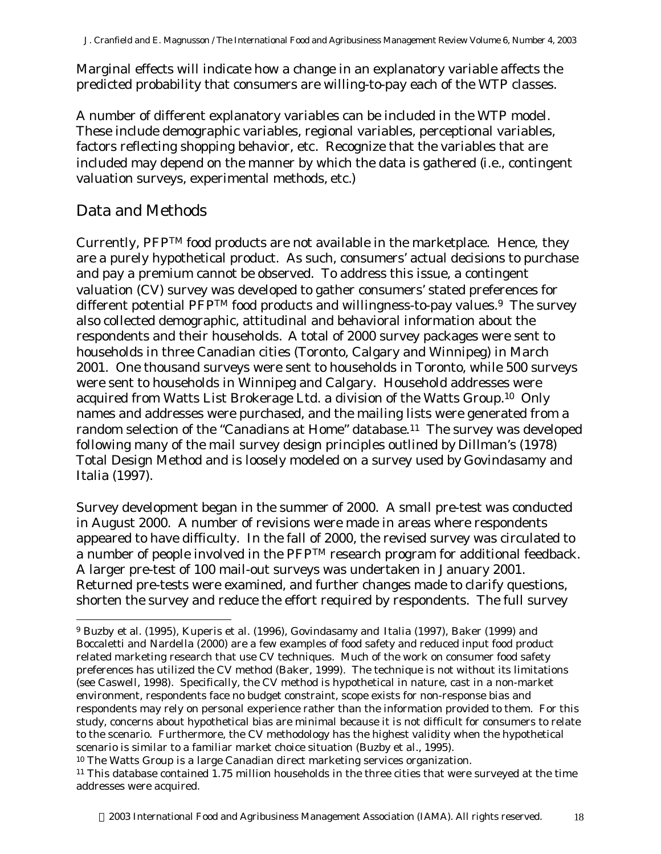Marginal effects will indicate how a change in an explanatory variable affects the predicted probability that consumers are willing-to-pay each of the WTP classes.

A number of different explanatory variables can be included in the WTP model. These include demographic variables, regional variables, perceptional variables, factors reflecting shopping behavior, *etc*. Recognize that the variables that are included may depend on the manner by which the data is gathered (*i.e.*, contingent valuation surveys, experimental methods, *etc.*)

## Data and Methods

Currently, PFPTM food products are not available in the marketplace. Hence, they are a purely hypothetical product. As such, consumers' actual decisions to purchase and pay a premium cannot be observed. To address this issue, a contingent valuation (CV) survey was developed to gather consumers' stated preferences for different potential  $\tilde{P}FPTM$  food products and willingness-to-pay values.<sup>9</sup> The survey also collected demographic, attitudinal and behavioral information about the respondents and their households. A total of 2000 survey packages were sent to households in three Canadian cities (Toronto, Calgary and Winnipeg) in March 2001. One thousand surveys were sent to households in Toronto, while 500 surveys were sent to households in Winnipeg and Calgary. Household addresses were acquired from Watts List Brokerage Ltd. a division of the Watts Group.10 Only names and addresses were purchased, and the mailing lists were generated from a random selection of the "Canadians at Home" database.<sup>11</sup> The survey was developed following many of the mail survey design principles outlined by Dillman's (1978) Total Design Method and is loosely modeled on a survey used by Govindasamy and Italia (1997).

Survey development began in the summer of 2000. A small pre-test was conducted in August 2000. A number of revisions were made in areas where respondents appeared to have difficulty. In the fall of 2000, the revised survey was circulated to a number of people involved in the PFPTM research program for additional feedback. A larger pre-test of 100 mail-out surveys was undertaken in January 2001. Returned pre-tests were examined, and further changes made to clarify questions, shorten the survey and reduce the effort required by respondents. The full survey

l <sup>9</sup> Buzby *et al.* (1995), Kuperis *et al.* (1996), Govindasamy and Italia (1997), Baker (1999) and Boccaletti and Nardella (2000) are a few examples of food safety and reduced input food product related marketing research that use CV techniques. Much of the work on consumer food safety preferences has utilized the CV method (Baker, 1999). The technique is not without its limitations (see Caswell, 1998). Specifically, the CV method is hypothetical in nature, cast in a non-market environment, respondents face no budget constraint, scope exists for non-response bias and respondents may rely on personal experience rather than the information provided to them. For this study, concerns about hypothetical bias are minimal because it is not difficult for consumers to relate to the scenario. Furthermore, the CV methodology has the highest validity when the hypothetical scenario is similar to a familiar market choice situation (Buzby *et al.*, 1995).

<sup>10</sup> The Watts Group is a large Canadian direct marketing services organization.

<sup>11</sup> This database contained 1.75 million households in the three cities that were surveyed at the time addresses were acquired.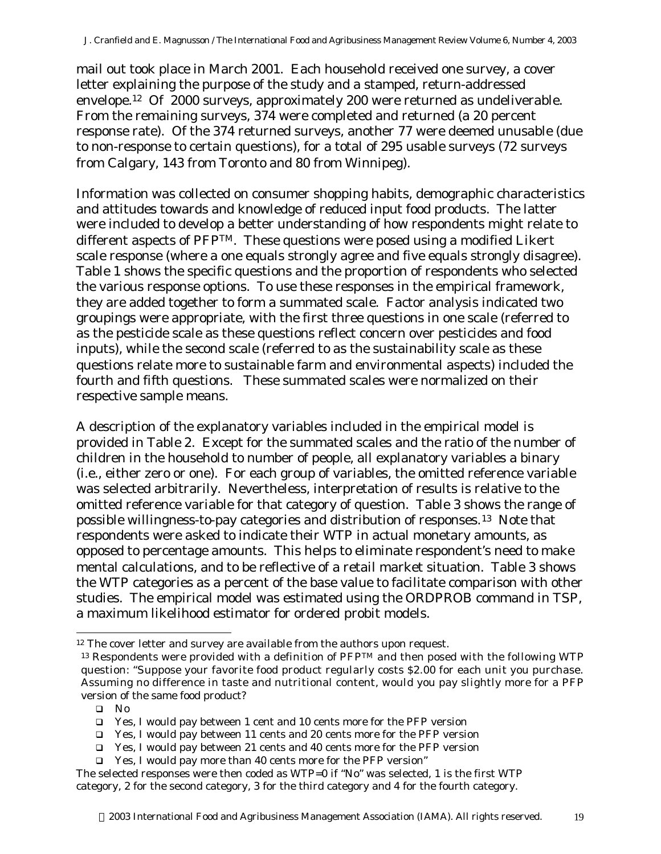mail out took place in March 2001. Each household received one survey, a cover letter explaining the purpose of the study and a stamped, return-addressed envelope.12 Of 2000 surveys, approximately 200 were returned as undeliverable. From the remaining surveys, 374 were completed and returned (a 20 percent response rate). Of the 374 returned surveys, another 77 were deemed unusable (due to non-response to certain questions), for a total of 295 usable surveys (72 surveys from Calgary, 143 from Toronto and 80 from Winnipeg).

Information was collected on consumer shopping habits, demographic characteristics and attitudes towards and knowledge of reduced input food products. The latter were included to develop a better understanding of how respondents might relate to different aspects of PFP<sup>TM</sup>. These questions were posed using a modified Likert scale response (where a one equals strongly agree and five equals strongly disagree). Table 1 shows the specific questions and the proportion of respondents who selected the various response options. To use these responses in the empirical framework, they are added together to form a summated scale. Factor analysis indicated two groupings were appropriate, with the first three questions in one scale (referred to as the pesticide scale as these questions reflect concern over pesticides and food inputs), while the second scale (referred to as the sustainability scale as these questions relate more to sustainable farm and environmental aspects) included the fourth and fifth questions. These summated scales were normalized on their respective sample means.

A description of the explanatory variables included in the empirical model is provided in Table 2. Except for the summated scales and the ratio of the number of children in the household to number of people, all explanatory variables a binary (i.e., either zero or one). For each group of variables, the omitted reference variable was selected arbitrarily. Nevertheless, interpretation of results is relative to the omitted reference variable for that category of question. Table 3 shows the range of possible willingness-to-pay categories and distribution of responses.13 Note that respondents were asked to indicate their WTP in actual monetary amounts, as opposed to percentage amounts. This helps to eliminate respondent's need to make mental calculations, and to be reflective of a retail market situation. Table 3 shows the WTP categories as a percent of the base value to facilitate comparison with other studies. The empirical model was estimated using the ORDPROB command in TSP, a maximum likelihood estimator for ordered probit models.

l

<sup>&</sup>lt;sup>12</sup> The cover letter and survey are available from the authors upon request.

 $13$  Respondents were provided with a definition of PFPTM and then posed with the following WTP question: "Suppose your favorite food product regularly costs \$2.00 for each unit you purchase. Assuming no difference in taste and nutritional content, would you pay slightly more for a PFP version of the same food product?

 $\Box$  No

q Yes, I would pay between 1 cent and 10 cents more for the PFP version

q Yes, I would pay between 11 cents and 20 cents more for the PFP version

<sup>□</sup> Yes, I would pay between 21 cents and 40 cents more for the PFP version

q Yes, I would pay more than 40 cents more for the PFP version"

The selected responses were then coded as WTP=0 if "No" was selected, 1 is the first WTP category, 2 for the second category, 3 for the third category and 4 for the fourth category.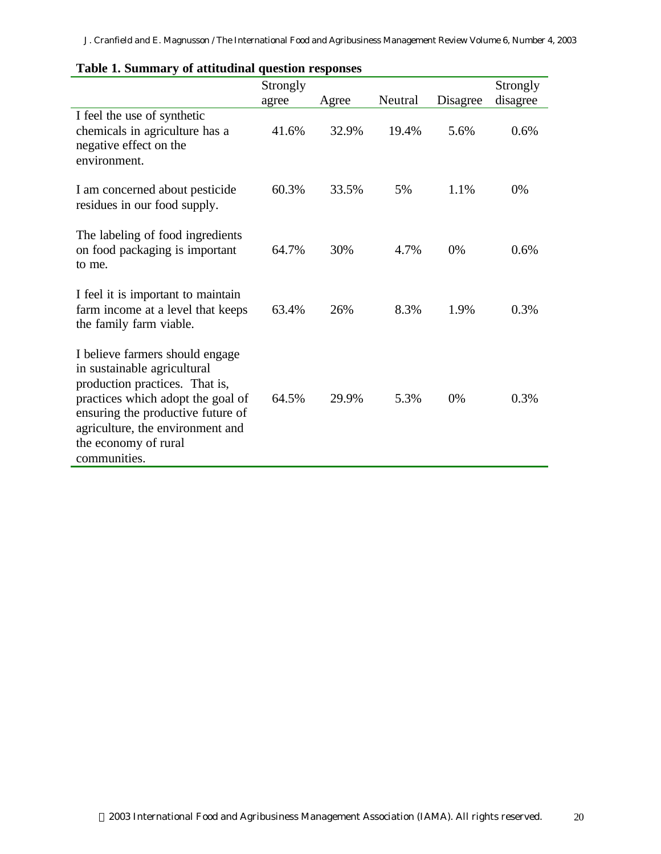|                                                                                                                                                                                                                                                        | Strongly<br>agree | Agree | Neutral | Disagree | Strongly<br>disagree |
|--------------------------------------------------------------------------------------------------------------------------------------------------------------------------------------------------------------------------------------------------------|-------------------|-------|---------|----------|----------------------|
| I feel the use of synthetic<br>chemicals in agriculture has a<br>negative effect on the<br>environment.                                                                                                                                                | 41.6%             | 32.9% | 19.4%   | 5.6%     | 0.6%                 |
| I am concerned about pesticide<br>residues in our food supply.                                                                                                                                                                                         | 60.3%             | 33.5% | 5%      | 1.1%     | 0%                   |
| The labeling of food ingredients<br>on food packaging is important<br>to me.                                                                                                                                                                           | 64.7%             | 30%   | 4.7%    | 0%       | 0.6%                 |
| I feel it is important to maintain<br>farm income at a level that keeps<br>the family farm viable.                                                                                                                                                     | 63.4%             | 26%   | 8.3%    | 1.9%     | 0.3%                 |
| I believe farmers should engage<br>in sustainable agricultural<br>production practices. That is,<br>practices which adopt the goal of<br>ensuring the productive future of<br>agriculture, the environment and<br>the economy of rural<br>communities. | 64.5%             | 29.9% | 5.3%    | 0%       | 0.3%                 |

#### **Table 1. Summary of attitudinal question responses**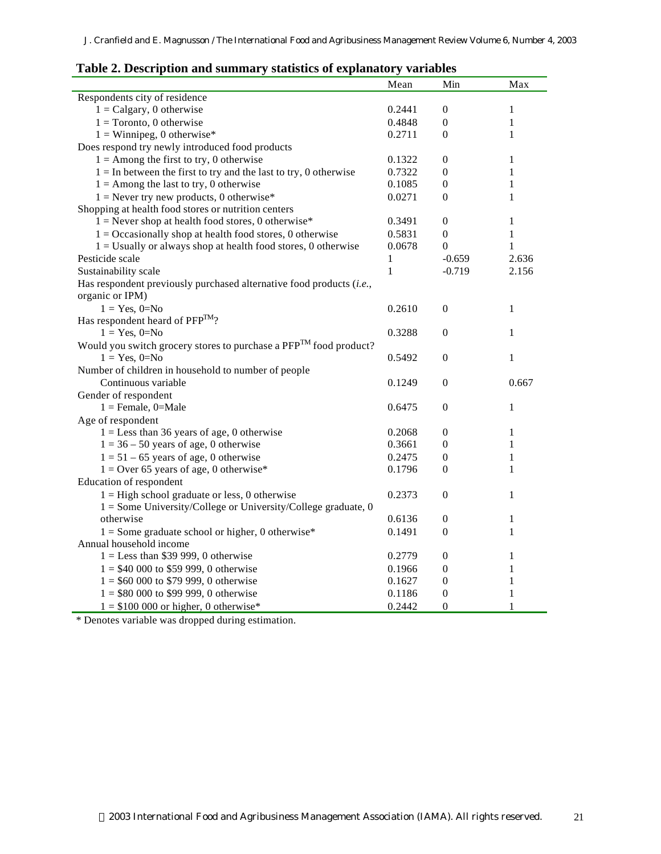| Table 2. Description and summary statistics of explanatory variables          |                  |                                    |                              |  |
|-------------------------------------------------------------------------------|------------------|------------------------------------|------------------------------|--|
|                                                                               | Mean             | Min                                | Max                          |  |
| Respondents city of residence                                                 |                  |                                    |                              |  |
| $1 =$ Calgary, 0 otherwise                                                    | 0.2441           | $\overline{0}$                     | 1                            |  |
| $1 = Toronto, 0 otherwise$                                                    | 0.4848           | $\boldsymbol{0}$                   | 1                            |  |
| $1 =$ Winnipeg, 0 otherwise*                                                  | 0.2711           | $\theta$                           | 1                            |  |
| Does respond try newly introduced food products                               |                  |                                    |                              |  |
| $1 =$ Among the first to try, 0 otherwise                                     | 0.1322           | $\boldsymbol{0}$                   | 1                            |  |
| $1 =$ In between the first to try and the last to try, 0 otherwise            | 0.7322           | $\boldsymbol{0}$                   | $\mathbf{1}$                 |  |
| $1 =$ Among the last to try, 0 otherwise                                      | 0.1085           | $\boldsymbol{0}$                   | $\mathbf{1}$                 |  |
| $1 =$ Never try new products, 0 otherwise*                                    | 0.0271           | $\theta$                           | 1                            |  |
| Shopping at health food stores or nutrition centers                           |                  |                                    |                              |  |
| $1 =$ Never shop at health food stores, 0 otherwise*                          | 0.3491           | $\boldsymbol{0}$                   | 1                            |  |
| $1 = Occasionally$ shop at health food stores, 0 otherwise                    | 0.5831           | $\boldsymbol{0}$                   | $\mathbf{1}$                 |  |
| $1 =$ Usually or always shop at health food stores, 0 otherwise               | 0.0678           | $\theta$                           | $\mathbf{1}$                 |  |
| Pesticide scale                                                               | 1                | $-0.659$                           | 2.636                        |  |
| Sustainability scale                                                          | $\mathbf{1}$     | $-0.719$                           | 2.156                        |  |
| Has respondent previously purchased alternative food products (i.e.,          |                  |                                    |                              |  |
| organic or IPM)                                                               |                  |                                    |                              |  |
| $1 = Yes, 0=No$                                                               | 0.2610           | $\overline{0}$                     | 1                            |  |
| Has respondent heard of PFP <sup>TM</sup> ?                                   |                  |                                    |                              |  |
| $1 = Yes, 0=No$                                                               | 0.3288           | $\overline{0}$                     | $\mathbf{1}$                 |  |
| Would you switch grocery stores to purchase a PFP <sup>TM</sup> food product? |                  |                                    |                              |  |
| $1 = Yes, 0 = No$                                                             | 0.5492           | $\boldsymbol{0}$                   | $\mathbf{1}$                 |  |
| Number of children in household to number of people                           |                  |                                    |                              |  |
| Continuous variable                                                           | 0.1249           | $\boldsymbol{0}$                   | 0.667                        |  |
| Gender of respondent                                                          |                  |                                    |                              |  |
| $1 =$ Female, 0=Male                                                          | 0.6475           | $\boldsymbol{0}$                   | 1                            |  |
| Age of respondent                                                             |                  |                                    |                              |  |
| $1 =$ Less than 36 years of age, 0 otherwise                                  | 0.2068           | $\overline{0}$                     | 1                            |  |
| $1 = 36 - 50$ years of age, 0 otherwise                                       | 0.3661           | $\boldsymbol{0}$                   | 1                            |  |
|                                                                               |                  |                                    |                              |  |
| $1 = 51 - 65$ years of age, 0 otherwise                                       | 0.2475<br>0.1796 | $\boldsymbol{0}$<br>$\overline{0}$ | $\mathbf{1}$<br>$\mathbf{1}$ |  |
| $1 =$ Over 65 years of age, 0 otherwise*                                      |                  |                                    |                              |  |
| Education of respondent                                                       |                  |                                    |                              |  |
| $1 =$ High school graduate or less, 0 otherwise                               | 0.2373           | $\theta$                           | $\mathbf{1}$                 |  |
| 1 = Some University/College or University/College graduate, 0                 |                  |                                    |                              |  |
| otherwise                                                                     | 0.6136           | $\boldsymbol{0}$                   | 1                            |  |
| $1 =$ Some graduate school or higher, 0 otherwise*                            | 0.1491           | $\boldsymbol{0}$                   | $\mathbf{1}$                 |  |
| Annual household income                                                       |                  |                                    |                              |  |
| $1 =$ Less than \$39 999, 0 otherwise                                         | 0.2779           | $\overline{0}$                     | 1                            |  |
| $1 = $40,000$ to \$59 999, 0 otherwise                                        | 0.1966           | $\boldsymbol{0}$                   | $\mathbf{1}$                 |  |
| $1 = $60,000$ to \$79 999, 0 otherwise                                        | 0.1627           | $\boldsymbol{0}$                   | $\mathbf{1}$                 |  |
| $1 = $80,000$ to \$99 999, 0 otherwise                                        | 0.1186           | $\boldsymbol{0}$                   | 1                            |  |
| $1 = $100 000$ or higher, 0 otherwise*                                        | 0.2442           | $\theta$                           | 1                            |  |

| Table 2. Description and summary statistics of explanatory variables |  |  |  |
|----------------------------------------------------------------------|--|--|--|
|----------------------------------------------------------------------|--|--|--|

\* Denotes variable was dropped during estimation.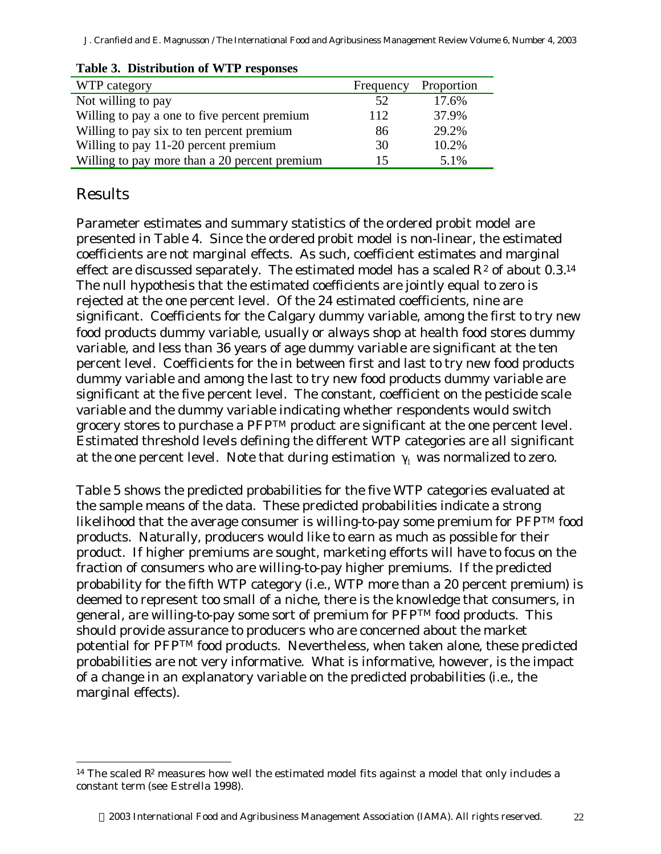*J. Cranfield and E. Magnusson / The International Food and Agribusiness Management Review Volume 6, Number 4, 2003*

| WTP category                                  | Frequency | Proportion |
|-----------------------------------------------|-----------|------------|
| Not willing to pay                            | 52        | 17.6%      |
| Willing to pay a one to five percent premium  | 112       | 37.9%      |
| Willing to pay six to ten percent premium     | 86        | 29.2%      |
| Willing to pay 11-20 percent premium          | 30        | 10.2%      |
| Willing to pay more than a 20 percent premium | 15        | 5.1%       |

#### **Table 3. Distribution of WTP responses**

## Results

l

Parameter estimates and summary statistics of the ordered probit model are presented in Table 4. Since the ordered probit model is non-linear, the estimated coefficients are not marginal effects. As such, coefficient estimates and marginal effect are discussed separately. The estimated model has a scaled  $R^2$  of about 0.3.<sup>14</sup> The null hypothesis that the estimated coefficients are jointly equal to zero is rejected at the one percent level. Of the 24 estimated coefficients, nine are significant. Coefficients for the Calgary dummy variable, among the first to try new food products dummy variable, usually or always shop at health food stores dummy variable, and less than 36 years of age dummy variable are significant at the ten percent level. Coefficients for the in between first and last to try new food products dummy variable and among the last to try new food products dummy variable are significant at the five percent level. The constant, coefficient on the pesticide scale variable and the dummy variable indicating whether respondents would switch grocery stores to purchase a PFPTM product are significant at the one percent level. Estimated threshold levels defining the different WTP categories are all significant at the one percent level. Note that during estimation  $\gamma_1$  was normalized to zero.

Table 5 shows the predicted probabilities for the five WTP categories evaluated at the sample means of the data. These predicted probabilities indicate a strong likelihood that the average consumer is willing-to-pay some premium for PFPTM food products. Naturally, producers would like to earn as much as possible for their product. If higher premiums are sought, marketing efforts will have to focus on the fraction of consumers who are willing-to-pay higher premiums. If the predicted probability for the fifth WTP category (i.e., WTP more than a 20 percent premium) is deemed to represent too small of a niche, there is the knowledge that consumers, in general, are willing-to-pay some sort of premium for PFPTM food products. This should provide assurance to producers who are concerned about the market potential for PFPTM food products. Nevertheless, when taken alone, these predicted probabilities are not very informative. What is informative, however, is the impact of a change in an explanatory variable on the predicted probabilities (*i.e.*, the marginal effects).

<sup>&</sup>lt;sup>14</sup> The scaled  $\mathbb{R}^2$  measures how well the estimated model fits against a model that only includes a constant term (see Estrella 1998).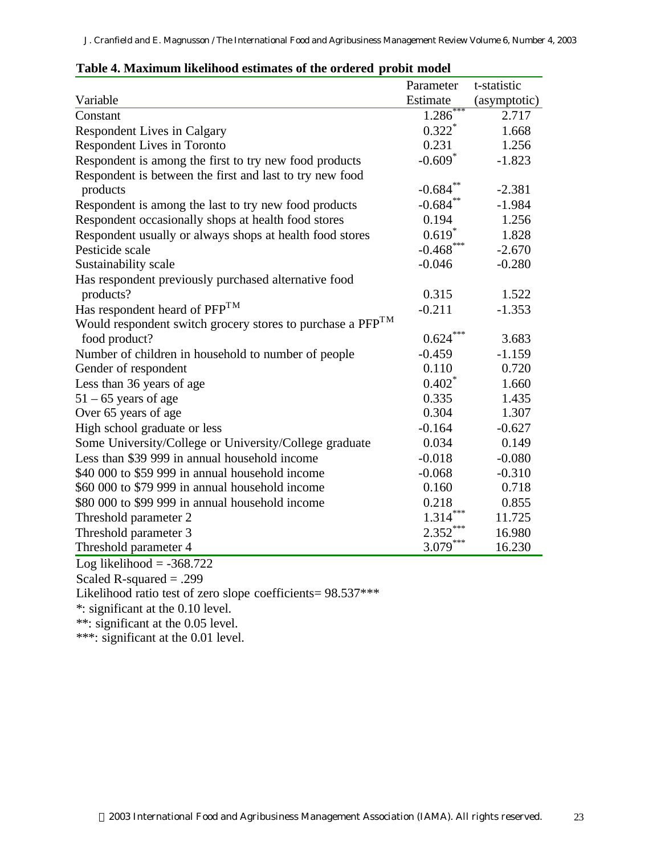| adie II Mahmman miennood estimates of the of defea              | <b>Propre money</b>  |              |
|-----------------------------------------------------------------|----------------------|--------------|
|                                                                 | Parameter            | t-statistic  |
| Variable                                                        | Estimate             | (asymptotic) |
| Constant                                                        | 1.286                | 2.717        |
| Respondent Lives in Calgary                                     | $0.322$ <sup>*</sup> | 1.668        |
| Respondent Lives in Toronto                                     | 0.231                | 1.256        |
| Respondent is among the first to try new food products          | $-0.609*$            | $-1.823$     |
| Respondent is between the first and last to try new food        |                      |              |
| products                                                        | $-0.684**$           | $-2.381$     |
| Respondent is among the last to try new food products           | $-0.684**$           | $-1.984$     |
| Respondent occasionally shops at health food stores             | 0.194                | 1.256        |
| Respondent usually or always shops at health food stores        | $0.619*$             | 1.828        |
| Pesticide scale                                                 | $-0.468$ ***         | $-2.670$     |
| Sustainability scale                                            | $-0.046$             | $-0.280$     |
| Has respondent previously purchased alternative food            |                      |              |
| products?                                                       | 0.315                | 1.522        |
| Has respondent heard of PFP <sup>TM</sup>                       | $-0.211$             | $-1.353$     |
| Would respondent switch grocery stores to purchase a $PFP^{TM}$ |                      |              |
| food product?                                                   | $0.624***$           | 3.683        |
| Number of children in household to number of people             | $-0.459$             | $-1.159$     |
| Gender of respondent                                            | 0.110                | 0.720        |
| Less than 36 years of age                                       | $0.402*$             | 1.660        |
| $51 - 65$ years of age                                          | 0.335                | 1.435        |
| Over 65 years of age                                            | 0.304                | 1.307        |
| High school graduate or less                                    | $-0.164$             | $-0.627$     |
| Some University/College or University/College graduate          | 0.034                | 0.149        |
| Less than \$39 999 in annual household income                   | $-0.018$             | $-0.080$     |
| \$40 000 to \$59 999 in annual household income                 | $-0.068$             | $-0.310$     |
| \$60,000 to \$79,999 in annual household income                 | 0.160                | 0.718        |
| \$80,000 to \$99,999 in annual household income                 | 0.218                | 0.855        |
| Threshold parameter 2                                           | ***<br>1.314         | 11.725       |
| Threshold parameter 3                                           | $2.352***$           | 16.980       |
| Threshold parameter 4                                           | $3.079***$           | 16.230       |
| Log likelihood = $-368.722$                                     |                      |              |

 $Log$  incrition  $-300.72$ <br>Scaled R-squared  $= .299$ 

Likelihood ratio test of zero slope coefficients=  $98.537***$ 

\*: significant at the 0.10 level.

\*\*: significant at the 0.05 level.

\*\*\*: significant at the 0.01 level.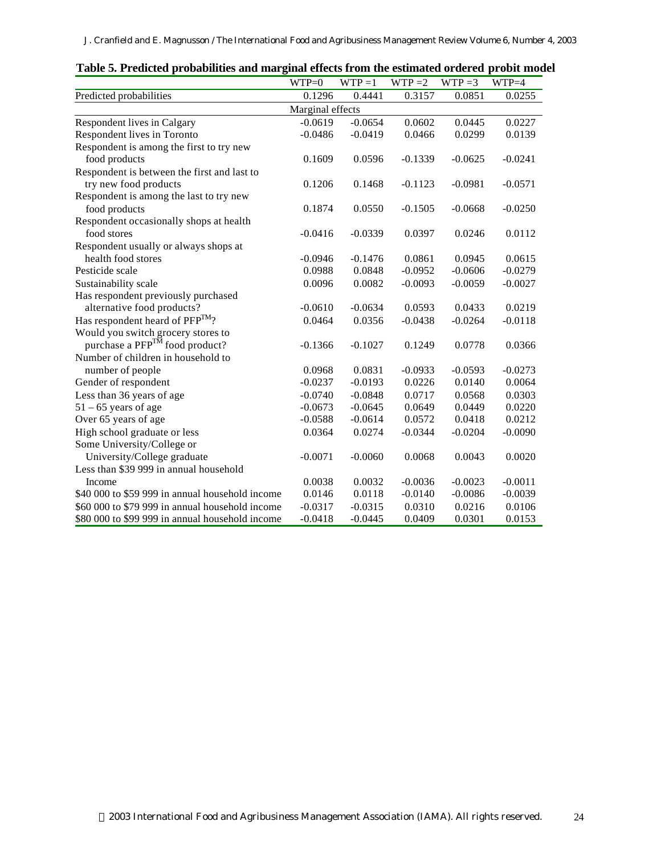|                                                 | $WTP=0$          | $WTP = 1$ | $WTP = 2$ | $WTP = 3$ | $WTP=4$   |  |  |
|-------------------------------------------------|------------------|-----------|-----------|-----------|-----------|--|--|
| Predicted probabilities                         | 0.1296           | 0.4441    | 0.3157    | 0.0851    | 0.0255    |  |  |
|                                                 | Marginal effects |           |           |           |           |  |  |
| Respondent lives in Calgary                     | $-0.0619$        | $-0.0654$ | 0.0602    | 0.0445    | 0.0227    |  |  |
| Respondent lives in Toronto                     | $-0.0486$        | $-0.0419$ | 0.0466    | 0.0299    | 0.0139    |  |  |
| Respondent is among the first to try new        |                  |           |           |           |           |  |  |
| food products                                   | 0.1609           | 0.0596    | $-0.1339$ | $-0.0625$ | $-0.0241$ |  |  |
| Respondent is between the first and last to     |                  |           |           |           |           |  |  |
| try new food products                           | 0.1206           | 0.1468    | $-0.1123$ | $-0.0981$ | $-0.0571$ |  |  |
| Respondent is among the last to try new         |                  |           |           |           |           |  |  |
| food products                                   | 0.1874           | 0.0550    | $-0.1505$ | $-0.0668$ | $-0.0250$ |  |  |
| Respondent occasionally shops at health         |                  |           |           |           |           |  |  |
| food stores                                     | $-0.0416$        | $-0.0339$ | 0.0397    | 0.0246    | 0.0112    |  |  |
| Respondent usually or always shops at           |                  |           |           |           |           |  |  |
| health food stores                              | $-0.0946$        | $-0.1476$ | 0.0861    | 0.0945    | 0.0615    |  |  |
| Pesticide scale                                 | 0.0988           | 0.0848    | $-0.0952$ | $-0.0606$ | $-0.0279$ |  |  |
| Sustainability scale                            | 0.0096           | 0.0082    | $-0.0093$ | $-0.0059$ | $-0.0027$ |  |  |
| Has respondent previously purchased             |                  |           |           |           |           |  |  |
| alternative food products?                      | $-0.0610$        | $-0.0634$ | 0.0593    | 0.0433    | 0.0219    |  |  |
| Has respondent heard of $PFP^{TM}$ ?            | 0.0464           | 0.0356    | $-0.0438$ | $-0.0264$ | $-0.0118$ |  |  |
| Would you switch grocery stores to              |                  |           |           |           |           |  |  |
| purchase a PFP <sup>TM</sup> food product?      | $-0.1366$        | $-0.1027$ | 0.1249    | 0.0778    | 0.0366    |  |  |
| Number of children in household to              |                  |           |           |           |           |  |  |
| number of people                                | 0.0968           | 0.0831    | $-0.0933$ | $-0.0593$ | $-0.0273$ |  |  |
| Gender of respondent                            | $-0.0237$        | $-0.0193$ | 0.0226    | 0.0140    | 0.0064    |  |  |
| Less than 36 years of age                       | $-0.0740$        | $-0.0848$ | 0.0717    | 0.0568    | 0.0303    |  |  |
| $51 - 65$ years of age                          | $-0.0673$        | $-0.0645$ | 0.0649    | 0.0449    | 0.0220    |  |  |
| Over 65 years of age                            | $-0.0588$        | $-0.0614$ | 0.0572    | 0.0418    | 0.0212    |  |  |
| High school graduate or less                    | 0.0364           | 0.0274    | $-0.0344$ | $-0.0204$ | $-0.0090$ |  |  |
| Some University/College or                      |                  |           |           |           |           |  |  |
| University/College graduate                     | $-0.0071$        | $-0.0060$ | 0.0068    | 0.0043    | 0.0020    |  |  |
| Less than \$39 999 in annual household          |                  |           |           |           |           |  |  |
| Income                                          | 0.0038           | 0.0032    | $-0.0036$ | $-0.0023$ | $-0.0011$ |  |  |
| \$40 000 to \$59 999 in annual household income | 0.0146           | 0.0118    | $-0.0140$ | $-0.0086$ | $-0.0039$ |  |  |
| \$60 000 to \$79 999 in annual household income | $-0.0317$        | $-0.0315$ | 0.0310    | 0.0216    | 0.0106    |  |  |
| \$80,000 to \$99,999 in annual household income | $-0.0418$        | $-0.0445$ | 0.0409    | 0.0301    | 0.0153    |  |  |

**Table 5. Predicted probabilities and marginal effects from the estimated ordered probit model**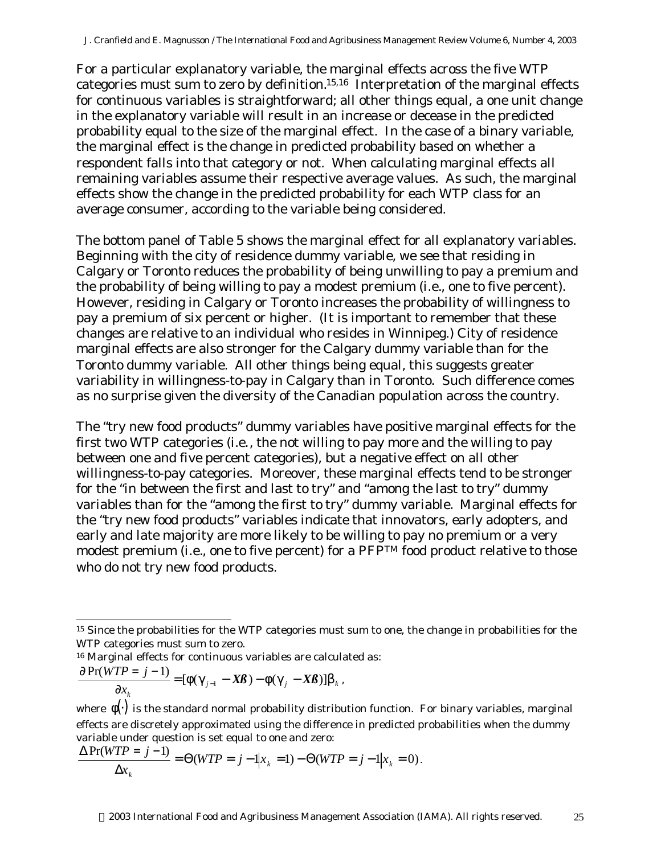For a particular explanatory variable, the marginal effects across the five WTP categories must sum to zero by definition.15,16 Interpretation of the marginal effects for continuous variables is straightforward; all other things equal, a one unit change in the explanatory variable will result in an increase or decease in the predicted probability equal to the size of the marginal effect. In the case of a binary variable, the marginal effect is the change in predicted probability based on whether a respondent falls into that category or not. When calculating marginal effects all remaining variables assume their respective average values. As such, the marginal effects show the change in the predicted probability for each WTP class for an average consumer, according to the variable being considered.

The bottom panel of Table 5 shows the marginal effect for all explanatory variables. Beginning with the city of residence dummy variable, we see that residing in Calgary or Toronto reduces the probability of being unwilling to pay a premium and the probability of being willing to pay a modest premium (*i.e.*, one to five percent). However, residing in Calgary or Toronto increases the probability of willingness to pay a premium of six percent or higher. (It is important to remember that these changes are relative to an individual who resides in Winnipeg.) City of residence marginal effects are also stronger for the Calgary dummy variable than for the Toronto dummy variable. All other things being equal, this suggests greater variability in willingness-to-pay in Calgary than in Toronto. Such difference comes as no surprise given the diversity of the Canadian population across the country.

The "try new food products" dummy variables have positive marginal effects for the first two WTP categories (*i.e.*, the not willing to pay more and the willing to pay between one and five percent categories), but a negative effect on all other willingness-to-pay categories. Moreover, these marginal effects tend to be stronger for the "in between the first and last to try" and "among the last to try" dummy variables than for the "among the first to try" dummy variable. Marginal effects for the "try new food products" variables indicate that innovators, early adopters, and early and late majority are more likely to be willing to pay no premium or a very modest premium (*i.e.*, one to five percent) for a PFP<sup>TM</sup> food product relative to those who do not try new food products.

$$
\frac{\Pr(WTP = j - 1)}{\partial x_k} = [\phi(\gamma_{j-1} - X\beta) - \phi(\gamma_j - X\beta)]\beta_k,
$$

l

 $\partial Pr($ 

$$
\frac{\Delta \Pr(WTP = j - 1)}{\Delta x_k} = \Theta(WTP = j - 1 | x_k = 1) - \Theta(WTP = j - 1 | x_k = 0).
$$

<sup>&</sup>lt;sup>15</sup> Since the probabilities for the WTP categories must sum to one, the change in probabilities for the WTP categories must sum to zero.

<sup>16</sup> Marginal effects for continuous variables are calculated as:

where  $\phi(\cdot)$  is the standard normal probability distribution function. For binary variables, marginal effects are discretely approximated using the difference in predicted probabilities when the dummy variable under question is set equal to one and zero: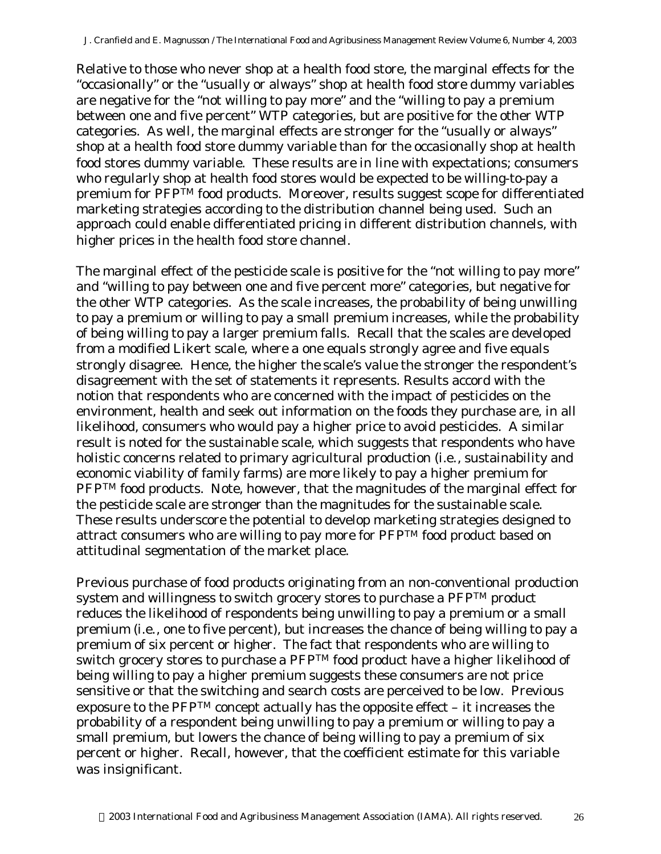Relative to those who never shop at a health food store, the marginal effects for the "occasionally" or the "usually or always" shop at health food store dummy variables are negative for the "not willing to pay more" and the "willing to pay a premium between one and five percent" WTP categories, but are positive for the other WTP categories. As well, the marginal effects are stronger for the "usually or always" shop at a health food store dummy variable than for the occasionally shop at health food stores dummy variable. These results are in line with expectations; consumers who regularly shop at health food stores would be expected to be willing-to-pay a premium for PFPTM food products. Moreover, results suggest scope for differentiated marketing strategies according to the distribution channel being used. Such an approach could enable differentiated pricing in different distribution channels, with higher prices in the health food store channel.

The marginal effect of the pesticide scale is positive for the "not willing to pay more" and "willing to pay between one and five percent more" categories, but negative for the other WTP categories. As the scale increases, the probability of being unwilling to pay a premium or willing to pay a small premium increases, while the probability of being willing to pay a larger premium falls. Recall that the scales are developed from a modified Likert scale, where a one equals strongly agree and five equals strongly disagree. Hence, the higher the scale's value the stronger the respondent's disagreement with the set of statements it represents. Results accord with the notion that respondents who are concerned with the impact of pesticides on the environment, health and seek out information on the foods they purchase are, in all likelihood, consumers who would pay a higher price to avoid pesticides. A similar result is noted for the sustainable scale, which suggests that respondents who have holistic concerns related to primary agricultural production (*i.e.*, sustainability and economic viability of family farms) are more likely to pay a higher premium for PFP<sup>TM</sup> food products. Note, however, that the magnitudes of the marginal effect for the pesticide scale are stronger than the magnitudes for the sustainable scale. These results underscore the potential to develop marketing strategies designed to attract consumers who are willing to pay more for PFPTM food product based on attitudinal segmentation of the market place.

Previous purchase of food products originating from an non-conventional production system and willingness to switch grocery stores to purchase a PFPTM product reduces the likelihood of respondents being unwilling to pay a premium or a small premium (*i.e.*, one to five percent), but increases the chance of being willing to pay a premium of six percent or higher. The fact that respondents who are willing to switch grocery stores to purchase a PFPTM food product have a higher likelihood of being willing to pay a higher premium suggests these consumers are not price sensitive or that the switching and search costs are perceived to be low. Previous exposure to the PFPTM concept actually has the opposite effect – it increases the probability of a respondent being unwilling to pay a premium or willing to pay a small premium, but lowers the chance of being willing to pay a premium of six percent or higher. Recall, however, that the coefficient estimate for this variable was insignificant.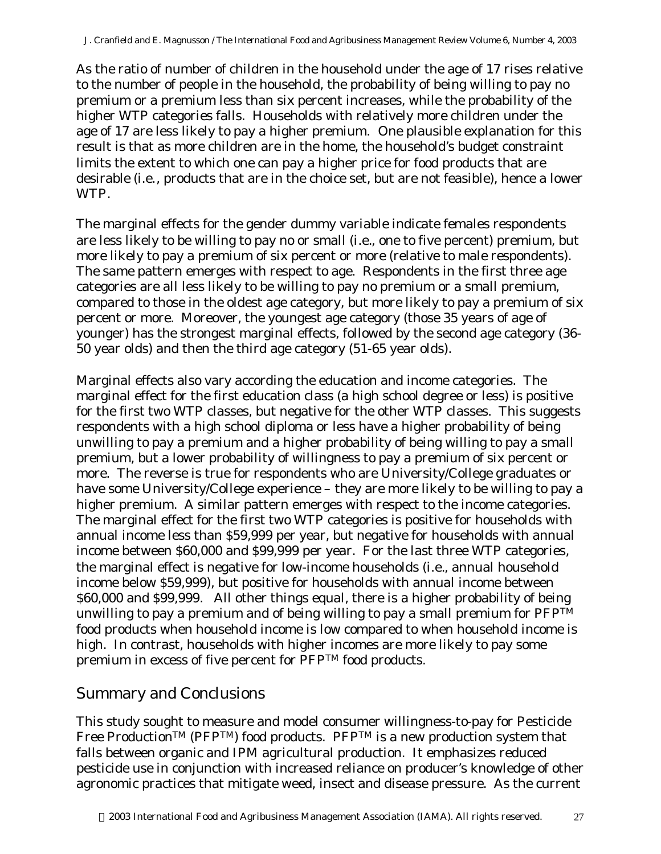As the ratio of number of children in the household under the age of 17 rises relative to the number of people in the household, the probability of being willing to pay no premium or a premium less than six percent increases, while the probability of the higher WTP categories falls. Households with relatively more children under the age of 17 are less likely to pay a higher premium. One plausible explanation for this result is that as more children are in the home, the household's budget constraint limits the extent to which one can pay a higher price for food products that are desirable (*i.e.*, products that are in the choice set, but are not feasible), hence a lower WTP.

The marginal effects for the gender dummy variable indicate females respondents are less likely to be willing to pay no or small (*i.e.*, one to five percent) premium, but more likely to pay a premium of six percent or more (relative to male respondents). The same pattern emerges with respect to age. Respondents in the first three age categories are all less likely to be willing to pay no premium or a small premium, compared to those in the oldest age category, but more likely to pay a premium of six percent or more. Moreover, the youngest age category (those 35 years of age of younger) has the strongest marginal effects, followed by the second age category (36- 50 year olds) and then the third age category (51-65 year olds).

Marginal effects also vary according the education and income categories. The marginal effect for the first education class (a high school degree or less) is positive for the first two WTP classes, but negative for the other WTP classes. This suggests respondents with a high school diploma or less have a higher probability of being unwilling to pay a premium and a higher probability of being willing to pay a small premium, but a lower probability of willingness to pay a premium of six percent or more. The reverse is true for respondents who are University/College graduates or have some University/College experience – they are more likely to be willing to pay a higher premium. A similar pattern emerges with respect to the income categories. The marginal effect for the first two WTP categories is positive for households with annual income less than \$59,999 per year, but negative for households with annual income between \$60,000 and \$99,999 per year. For the last three WTP categories, the marginal effect is negative for low-income households (*i.e.*, annual household income below \$59,999), but positive for households with annual income between \$60,000 and \$99,999. All other things equal, there is a higher probability of being unwilling to pay a premium and of being willing to pay a small premium for  $PFP^{TM}$ food products when household income is low compared to when household income is high. In contrast, households with higher incomes are more likely to pay some premium in excess of five percent for PFPTM food products.

## Summary and Conclusions

This study sought to measure and model consumer willingness-to-pay for Pesticide Free Production<sup>TM</sup> (PFP<sup>TM</sup>) food products. PFP<sup>TM</sup> is a new production system that falls between organic and IPM agricultural production. It emphasizes reduced pesticide use in conjunction with increased reliance on producer's knowledge of other agronomic practices that mitigate weed, insect and disease pressure. As the current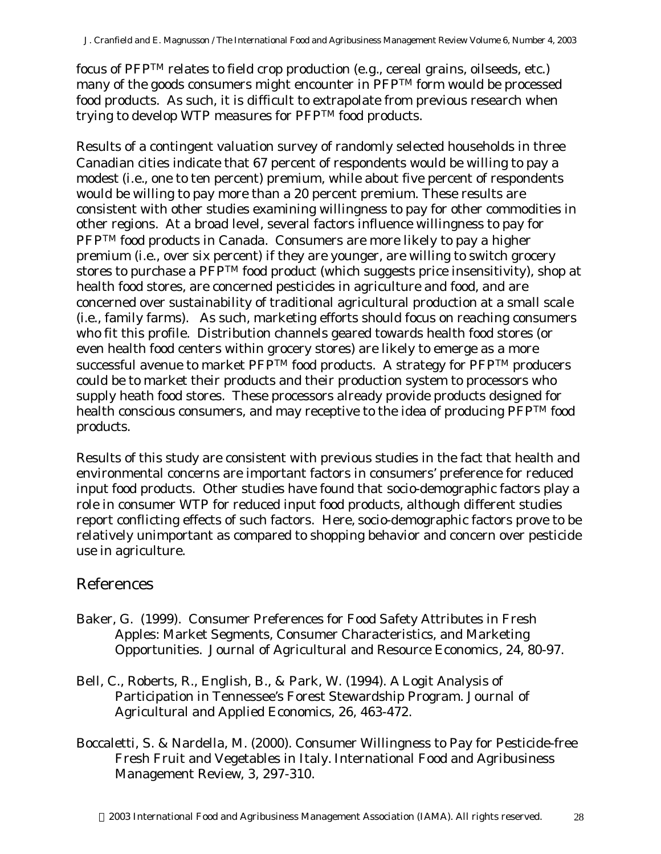focus of PFPTM relates to field crop production (*e.g.*, cereal grains, oilseeds, *etc.*) many of the goods consumers might encounter in PFPTM form would be processed food products. As such, it is difficult to extrapolate from previous research when trying to develop WTP measures for PFPTM food products.

Results of a contingent valuation survey of randomly selected households in three Canadian cities indicate that 67 percent of respondents would be willing to pay a modest (*i.e.*, one to ten percent) premium, while about five percent of respondents would be willing to pay more than a 20 percent premium. These results are consistent with other studies examining willingness to pay for other commodities in other regions. At a broad level, several factors influence willingness to pay for PFP<sup>TM</sup> food products in Canada. Consumers are more likely to pay a higher premium (i.e., over six percent) if they are younger, are willing to switch grocery stores to purchase a PFPTM food product (which suggests price insensitivity), shop at health food stores, are concerned pesticides in agriculture and food, and are concerned over sustainability of traditional agricultural production at a small scale *(i.e*., family farms). As such, marketing efforts should focus on reaching consumers who fit this profile. Distribution channels geared towards health food stores (or even health food centers within grocery stores) are likely to emerge as a more successful avenue to market PFPTM food products. A strategy for PFPTM producers could be to market their products and their production system to processors who supply heath food stores. These processors already provide products designed for health conscious consumers, and may receptive to the idea of producing PFPTM food products.

Results of this study are consistent with previous studies in the fact that health and environmental concerns are important factors in consumers' preference for reduced input food products. Other studies have found that socio-demographic factors play a role in consumer WTP for reduced input food products, although different studies report conflicting effects of such factors. Here, socio-demographic factors prove to be relatively unimportant as compared to shopping behavior and concern over pesticide use in agriculture.

### References

- Baker, G. (1999). Consumer Preferences for Food Safety Attributes in Fresh Apples: Market Segments, Consumer Characteristics, and Marketing Opportunities. *Journal of Agricultural and Resource Economics*, 24, 80-97.
- Bell, C., Roberts, R., English, B., & Park, W. (1994). A Logit Analysis of Participation in Tennessee's Forest Stewardship Program. *Journal of Agricultural and Applied Economics*, 26, 463-472.
- Boccaletti, S. & Nardella, M. (2000). Consumer Willingness to Pay for Pesticide-free Fresh Fruit and Vegetables in Italy. *International Food and Agribusiness Management Review*, 3, 297-310.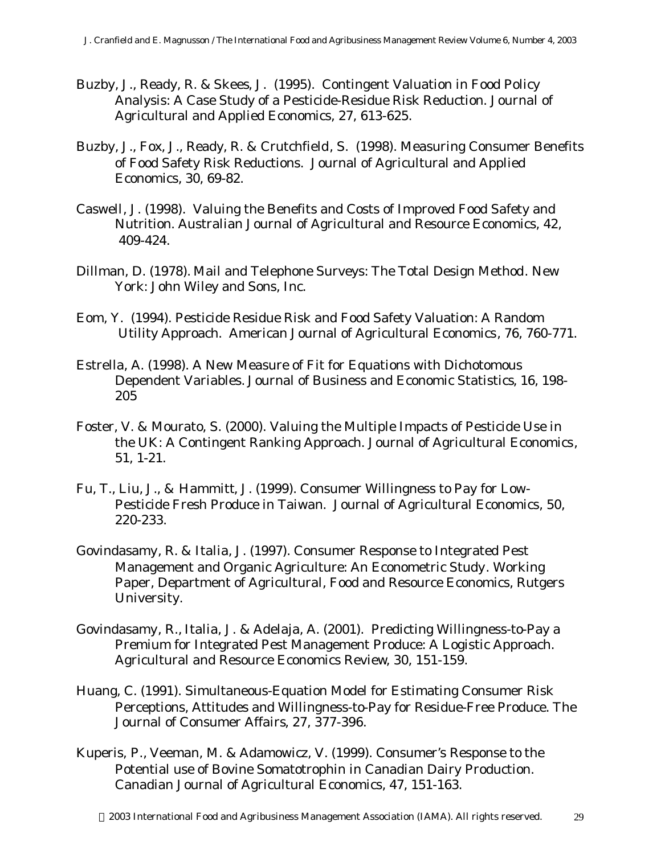- Buzby, J., Ready, R. & Skees, J. (1995). Contingent Valuation in Food Policy Analysis: A Case Study of a Pesticide-Residue Risk Reduction. *Journal of Agricultural and Applied Economics*, 27, 613-625.
- Buzby, J., Fox, J., Ready, R. & Crutchfield, S. (1998). Measuring Consumer Benefits of Food Safety Risk Reductions. *Journal of Agricultural and Applied Economics*, 30, 69-82.
- Caswell, J. (1998). Valuing the Benefits and Costs of Improved Food Safety and Nutrition. *Australian Journal of Agricultural and Resource Economics*, 42, 409-424.
- Dillman, D. (1978). *Mail and Telephone Surveys: The Total Design Method*. New York: John Wiley and Sons, Inc.
- Eom, Y. (1994). Pesticide Residue Risk and Food Safety Valuation: A Random Utility Approach. *American Journal of Agricultural Economics*, 76, 760-771.
- Estrella, A. (1998). A New Measure of Fit for Equations with Dichotomous Dependent Variables. *Journal of Business and Economic Statistics*, 16, 198- 205
- Foster, V. & Mourato, S. (2000). Valuing the Multiple Impacts of Pesticide Use in the UK: A Contingent Ranking Approach. *Journal of Agricultural Economics*, 51, 1-21.
- Fu, T., Liu, J., & Hammitt, J. (1999). Consumer Willingness to Pay for Low-Pesticide Fresh Produce in Taiwan. *Journal of Agricultural Economics*, 50, 220-233.
- Govindasamy, R. & Italia, J. (1997). *Consumer Response to Integrated Pest Management and Organic Agriculture: An Econometric Study*. Working Paper, Department of Agricultural, Food and Resource Economics, Rutgers University.
- Govindasamy, R., Italia, J. & Adelaja, A. (2001). Predicting Willingness-to-Pay a Premium for Integrated Pest Management Produce: A Logistic Approach. *Agricultural and Resource Economics Review*, 30, 151-159.
- Huang, C. (1991). Simultaneous-Equation Model for Estimating Consumer Risk Perceptions, Attitudes and Willingness-to-Pay for Residue-Free Produce. *The Journal of Consumer Affairs*, 27, 377-396.
- Kuperis, P., Veeman, M. & Adamowicz, V. (1999). Consumer's Response to the Potential use of Bovine Somatotrophin in Canadian Dairy Production. *Canadian Journal of Agricultural Economics*, 47, 151-163.